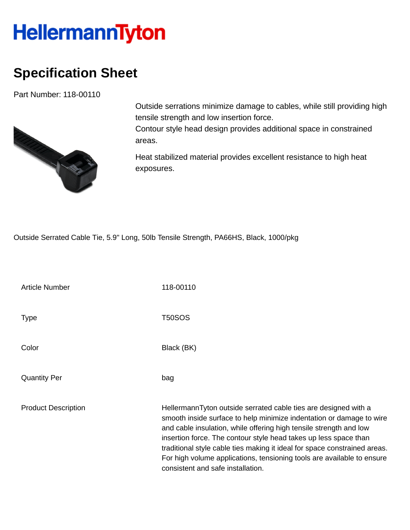## **HellermannTyton**

## **Specification Sheet**

Part Number: 118-00110



Outside serrations minimize damage to cables, while still providing high tensile strength and low insertion force.

Contour style head design provides additional space in constrained areas.

Heat stabilized material provides excellent resistance to high heat exposures.

Outside Serrated Cable Tie, 5.9" Long, 50lb Tensile Strength, PA66HS, Black, 1000/pkg

Article Number 118-00110 Type T50SOS Color Black (BK) Quantity Per bag Product Description **HellermannTyton outside serrated cable ties are designed with a** smooth inside surface to help minimize indentation or damage to wire and cable insulation, while offering high tensile strength and low insertion force. The contour style head takes up less space than traditional style cable ties making it ideal for space constrained areas. For high volume applications, tensioning tools are available to ensure consistent and safe installation.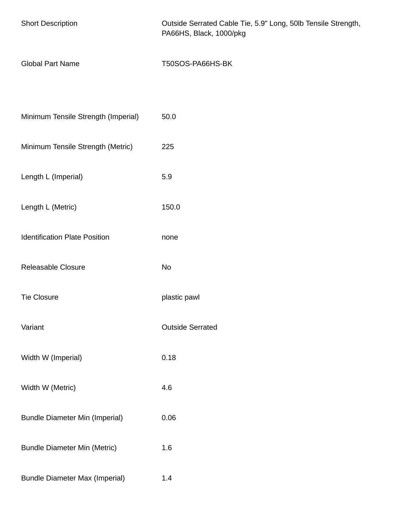| <b>Short Description</b>              | Outside Serrated Cable Tie, 5.9" Long, 50lb Tensile Strength,<br>PA66HS, Black, 1000/pkg |
|---------------------------------------|------------------------------------------------------------------------------------------|
| <b>Global Part Name</b>               | T50SOS-PA66HS-BK                                                                         |
|                                       |                                                                                          |
| Minimum Tensile Strength (Imperial)   | 50.0                                                                                     |
| Minimum Tensile Strength (Metric)     | 225                                                                                      |
| Length L (Imperial)                   | 5.9                                                                                      |
| Length L (Metric)                     | 150.0                                                                                    |
| <b>Identification Plate Position</b>  | none                                                                                     |
| Releasable Closure                    | No                                                                                       |
| <b>Tie Closure</b>                    | plastic pawl                                                                             |
| Variant                               | <b>Outside Serrated</b>                                                                  |
| Width W (Imperial)                    | 0.18                                                                                     |
| Width W (Metric)                      | 4.6                                                                                      |
| <b>Bundle Diameter Min (Imperial)</b> | 0.06                                                                                     |
| <b>Bundle Diameter Min (Metric)</b>   | 1.6                                                                                      |
| <b>Bundle Diameter Max (Imperial)</b> | 1.4                                                                                      |